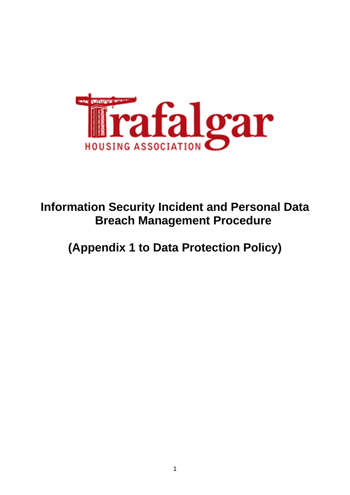

**Information Security Incident and Personal Data Breach Management Procedure**

**(Appendix 1 to Data Protection Policy)**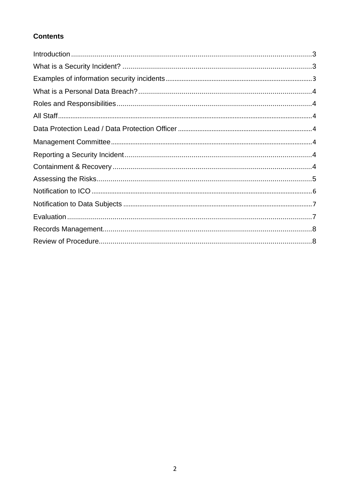# **Contents**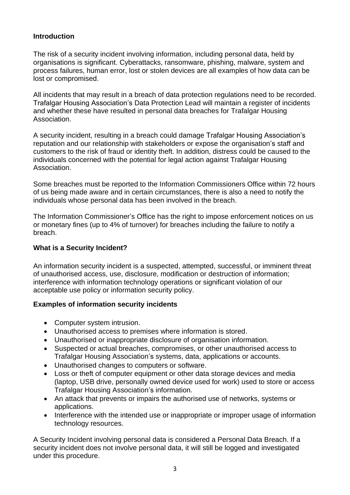## <span id="page-2-0"></span>**Introduction**

The risk of a security incident involving information, including personal data, held by organisations is significant. Cyberattacks, ransomware, phishing, malware, system and process failures, human error, lost or stolen devices are all examples of how data can be lost or compromised.

All incidents that may result in a breach of data protection regulations need to be recorded. Trafalgar Housing Association's Data Protection Lead will maintain a register of incidents and whether these have resulted in personal data breaches for Trafalgar Housing Association.

A security incident, resulting in a breach could damage Trafalgar Housing Association's reputation and our relationship with stakeholders or expose the organisation's staff and customers to the risk of fraud or identity theft. In addition, distress could be caused to the individuals concerned with the potential for legal action against Trafalgar Housing Association.

Some breaches must be reported to the Information Commissioners Office within 72 hours of us being made aware and in certain circumstances, there is also a need to notify the individuals whose personal data has been involved in the breach.

The Information Commissioner's Office has the right to impose enforcement notices on us or monetary fines (up to 4% of turnover) for breaches including the failure to notify a breach.

# <span id="page-2-1"></span>**What is a Security Incident?**

An information security incident is a suspected, attempted, successful, or imminent threat of unauthorised access, use, disclosure, modification or destruction of information; interference with information technology operations or significant violation of our acceptable use policy or information security policy.

#### <span id="page-2-2"></span>**Examples of information security incidents**

- Computer system intrusion.
- Unauthorised access to premises where information is stored.
- Unauthorised or inappropriate disclosure of organisation information.
- Suspected or actual breaches, compromises, or other unauthorised access to Trafalgar Housing Association's systems, data, applications or accounts.
- Unauthorised changes to computers or software.
- Loss or theft of computer equipment or other data storage devices and media (laptop, USB drive, personally owned device used for work) used to store or access Trafalgar Housing Association's information.
- An attack that prevents or impairs the authorised use of networks, systems or applications.
- Interference with the intended use or inappropriate or improper usage of information technology resources.

A Security Incident involving personal data is considered a Personal Data Breach. If a security incident does not involve personal data, it will still be logged and investigated under this procedure.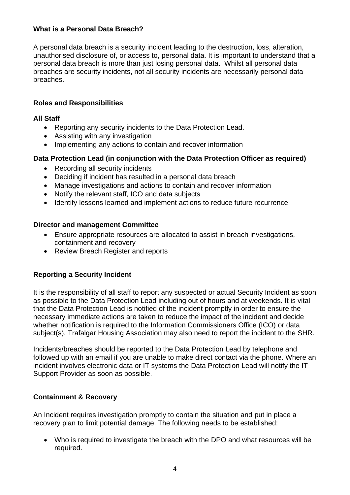## <span id="page-3-0"></span>**What is a Personal Data Breach?**

A personal data breach is a security incident leading to the destruction, loss, alteration, unauthorised disclosure of, or access to, personal data. It is important to understand that a personal data breach is more than just losing personal data. Whilst all personal data breaches are security incidents, not all security incidents are necessarily personal data breaches.

# <span id="page-3-1"></span>**Roles and Responsibilities**

#### <span id="page-3-2"></span>**All Staff**

- Reporting any security incidents to the Data Protection Lead.
- Assisting with any investigation
- Implementing any actions to contain and recover information

### <span id="page-3-3"></span>**Data Protection Lead (in conjunction with the Data Protection Officer as required)**

- Recording all security incidents
- Deciding if incident has resulted in a personal data breach
- Manage investigations and actions to contain and recover information
- Notify the relevant staff, ICO and data subjects
- Identify lessons learned and implement actions to reduce future recurrence

#### <span id="page-3-4"></span>**Director and management Committee**

- Ensure appropriate resources are allocated to assist in breach investigations, containment and recovery
- Review Breach Register and reports

#### <span id="page-3-5"></span>**Reporting a Security Incident**

It is the responsibility of all staff to report any suspected or actual Security Incident as soon as possible to the Data Protection Lead including out of hours and at weekends. It is vital that the Data Protection Lead is notified of the incident promptly in order to ensure the necessary immediate actions are taken to reduce the impact of the incident and decide whether notification is required to the Information Commissioners Office (ICO) or data subject(s). Trafalgar Housing Association may also need to report the incident to the SHR.

Incidents/breaches should be reported to the Data Protection Lead by telephone and followed up with an email if you are unable to make direct contact via the phone. Where an incident involves electronic data or IT systems the Data Protection Lead will notify the IT Support Provider as soon as possible.

#### <span id="page-3-6"></span>**Containment & Recovery**

An Incident requires investigation promptly to contain the situation and put in place a recovery plan to limit potential damage. The following needs to be established:

• Who is required to investigate the breach with the DPO and what resources will be required.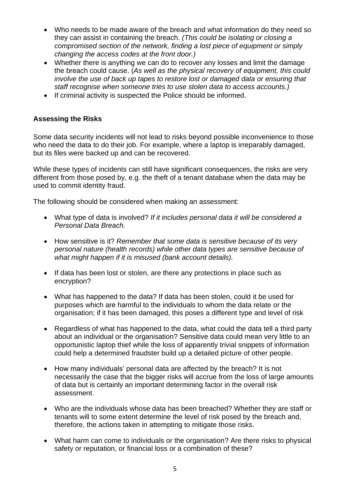- Who needs to be made aware of the breach and what information do they need so they can assist in containing the breach. *(This could be isolating or closing a compromised section of the network, finding a lost piece of equipment or simply changing the access codes at the front door.)*
- Whether there is anything we can do to recover any losses and limit the damage the breach could cause. (*As well as the physical recovery of equipment, this could involve the use of back up tapes to restore lost or damaged data or ensuring that staff recognise when someone tries to use stolen data to access accounts.)*
- If criminal activity is suspected the Police should be informed.

# <span id="page-4-0"></span>**Assessing the Risks**

Some data security incidents will not lead to risks beyond possible inconvenience to those who need the data to do their job. For example, where a laptop is irreparably damaged, but its files were backed up and can be recovered.

While these types of incidents can still have significant consequences, the risks are very different from those posed by, e.g. the theft of a tenant database when the data may be used to commit identity fraud.

The following should be considered when making an assessment:

- What type of data is involved? *If it includes personal data it will be considered a Personal Data Breach.*
- How sensitive is it? *Remember that some data is sensitive because of its very personal nature (health records) while other data types are sensitive because of what might happen if it is misused (bank account details).*
- If data has been lost or stolen, are there any protections in place such as encryption?
- What has happened to the data? If data has been stolen, could it be used for purposes which are harmful to the individuals to whom the data relate or the organisation; if it has been damaged, this poses a different type and level of risk
- Regardless of what has happened to the data, what could the data tell a third party about an individual or the organisation? Sensitive data could mean very little to an opportunistic laptop thief while the loss of apparently trivial snippets of information could help a determined fraudster build up a detailed picture of other people.
- How many individuals' personal data are affected by the breach? It is not necessarily the case that the bigger risks will accrue from the loss of large amounts of data but is certainly an important determining factor in the overall risk assessment.
- Who are the individuals whose data has been breached? Whether they are staff or tenants will to some extent determine the level of risk posed by the breach and, therefore, the actions taken in attempting to mitigate those risks.
- What harm can come to individuals or the organisation? Are there risks to physical safety or reputation, or financial loss or a combination of these?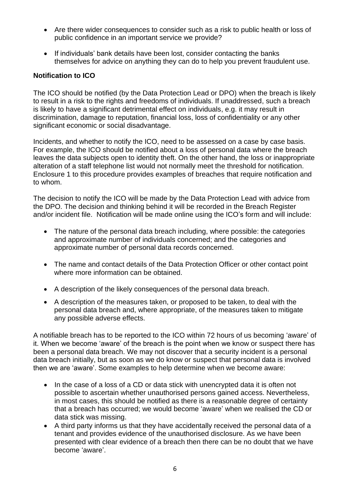- Are there wider consequences to consider such as a risk to public health or loss of public confidence in an important service we provide?
- If individuals' bank details have been lost, consider contacting the banks themselves for advice on anything they can do to help you prevent fraudulent use.

### <span id="page-5-0"></span>**Notification to ICO**

The ICO should be notified (by the Data Protection Lead or DPO) when the breach is likely to result in a risk to the rights and freedoms of individuals. If unaddressed, such a breach is likely to have a significant detrimental effect on individuals, e.g. it may result in discrimination, damage to reputation, financial loss, loss of confidentiality or any other significant economic or social disadvantage.

Incidents, and whether to notify the ICO, need to be assessed on a case by case basis. For example, the ICO should be notified about a loss of personal data where the breach leaves the data subjects open to identity theft. On the other hand, the loss or inappropriate alteration of a staff telephone list would not normally meet the threshold for notification. Enclosure 1 to this procedure provides examples of breaches that require notification and to whom.

The decision to notify the ICO will be made by the Data Protection Lead with advice from the DPO. The decision and thinking behind it will be recorded in the Breach Register and/or incident file. Notification will be made online using the ICO's form and will include:

- The nature of the personal data breach including, where possible: the categories and approximate number of individuals concerned; and the categories and approximate number of personal data records concerned.
- The name and contact details of the Data Protection Officer or other contact point where more information can be obtained.
- A description of the likely consequences of the personal data breach.
- A description of the measures taken, or proposed to be taken, to deal with the personal data breach and, where appropriate, of the measures taken to mitigate any possible adverse effects.

A notifiable breach has to be reported to the ICO within 72 hours of us becoming 'aware' of it. When we become 'aware' of the breach is the point when we know or suspect there has been a personal data breach. We may not discover that a security incident is a personal data breach initially, but as soon as we do know or suspect that personal data is involved then we are 'aware'. Some examples to help determine when we become aware:

- In the case of a loss of a CD or data stick with unencrypted data it is often not possible to ascertain whether unauthorised persons gained access. Nevertheless, in most cases, this should be notified as there is a reasonable degree of certainty that a breach has occurred; we would become 'aware' when we realised the CD or data stick was missing.
- A third party informs us that they have accidentally received the personal data of a tenant and provides evidence of the unauthorised disclosure. As we have been presented with clear evidence of a breach then there can be no doubt that we have become 'aware'.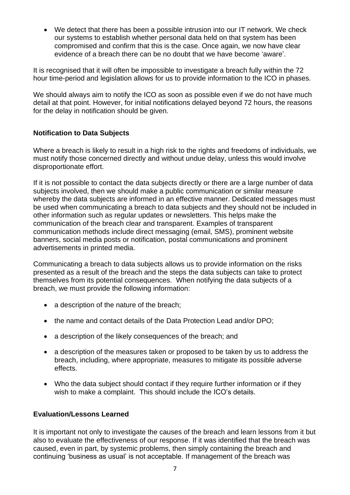• We detect that there has been a possible intrusion into our IT network. We check our systems to establish whether personal data held on that system has been compromised and confirm that this is the case. Once again, we now have clear evidence of a breach there can be no doubt that we have become 'aware'.

It is recognised that it will often be impossible to investigate a breach fully within the 72 hour time-period and legislation allows for us to provide information to the ICO in phases.

We should always aim to notify the ICO as soon as possible even if we do not have much detail at that point. However, for initial notifications delayed beyond 72 hours, the reasons for the delay in notification should be given.

# <span id="page-6-0"></span>**Notification to Data Subjects**

Where a breach is likely to result in a high risk to the rights and freedoms of individuals, we must notify those concerned directly and without undue delay, unless this would involve disproportionate effort.

If it is not possible to contact the data subjects directly or there are a large number of data subjects involved, then we should make a public communication or similar measure whereby the data subjects are informed in an effective manner. Dedicated messages must be used when communicating a breach to data subjects and they should not be included in other information such as regular updates or newsletters. This helps make the communication of the breach clear and transparent. Examples of transparent communication methods include direct messaging (email, SMS), prominent website banners, social media posts or notification, postal communications and prominent advertisements in printed media.

Communicating a breach to data subjects allows us to provide information on the risks presented as a result of the breach and the steps the data subjects can take to protect themselves from its potential consequences. When notifying the data subjects of a breach, we must provide the following information:

- a description of the nature of the breach;
- the name and contact details of the Data Protection Lead and/or DPO;
- a description of the likely consequences of the breach; and
- a description of the measures taken or proposed to be taken by us to address the breach, including, where appropriate, measures to mitigate its possible adverse effects.
- Who the data subiect should contact if they require further information or if they wish to make a complaint. This should include the ICO's details.

# <span id="page-6-1"></span>**Evaluation/Lessons Learned**

It is important not only to investigate the causes of the breach and learn lessons from it but also to evaluate the effectiveness of our response. If it was identified that the breach was caused, even in part, by systemic problems, then simply containing the breach and continuing 'business as usual' is not acceptable. If management of the breach was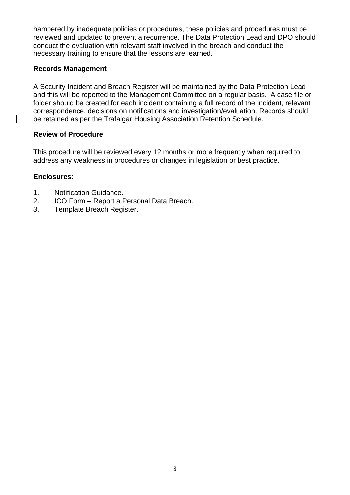hampered by inadequate policies or procedures, these policies and procedures must be reviewed and updated to prevent a recurrence. The Data Protection Lead and DPO should conduct the evaluation with relevant staff involved in the breach and conduct the necessary training to ensure that the lessons are learned.

# <span id="page-7-0"></span>**Records Management**

A Security Incident and Breach Register will be maintained by the Data Protection Lead and this will be reported to the Management Committee on a regular basis. A case file or folder should be created for each incident containing a full record of the incident, relevant correspondence, decisions on notifications and investigation/evaluation. Records should be retained as per the Trafalgar Housing Association Retention Schedule.

### <span id="page-7-1"></span>**Review of Procedure**

This procedure will be reviewed every 12 months or more frequently when required to address any weakness in procedures or changes in legislation or best practice.

#### **Enclosures**:

- 1. Notification Guidance.
- 2. ICO Form Report a Personal Data Breach.
- 3. Template Breach Register.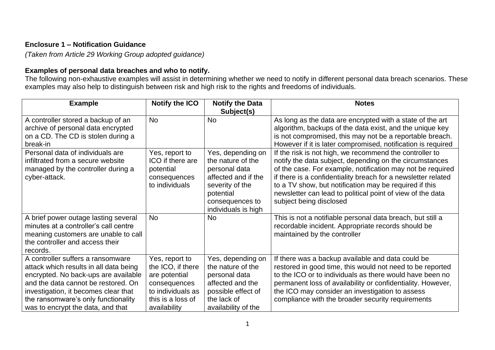# **Enclosure 1 – Notification Guidance**

*(Taken from Article 29 Working Group adopted guidance)*

# **Examples of personal data breaches and who to notify.**

The following non-exhaustive examples will assist in determining whether we need to notify in different personal data breach scenarios. These examples may also help to distinguish between risk and high risk to the rights and freedoms of individuals.

| <b>Example</b>                                                                                                                                                                                                                                                                 | <b>Notify the ICO</b>                                                                                                          | <b>Notify the Data</b><br>Subject(s)                                                                                                                     | <b>Notes</b>                                                                                                                                                                                                                                                                                                                                                                                         |
|--------------------------------------------------------------------------------------------------------------------------------------------------------------------------------------------------------------------------------------------------------------------------------|--------------------------------------------------------------------------------------------------------------------------------|----------------------------------------------------------------------------------------------------------------------------------------------------------|------------------------------------------------------------------------------------------------------------------------------------------------------------------------------------------------------------------------------------------------------------------------------------------------------------------------------------------------------------------------------------------------------|
| A controller stored a backup of an<br>archive of personal data encrypted<br>on a CD. The CD is stolen during a<br>break-in                                                                                                                                                     | <b>No</b>                                                                                                                      | <b>No</b>                                                                                                                                                | As long as the data are encrypted with a state of the art<br>algorithm, backups of the data exist, and the unique key<br>is not compromised, this may not be a reportable breach.<br>However if it is later compromised, notification is required                                                                                                                                                    |
| Personal data of individuals are<br>infiltrated from a secure website<br>managed by the controller during a<br>cyber-attack.                                                                                                                                                   | Yes, report to<br>ICO if there are<br>potential<br>consequences<br>to individuals                                              | Yes, depending on<br>the nature of the<br>personal data<br>affected and if the<br>severity of the<br>potential<br>consequences to<br>individuals is high | If the risk is not high, we recommend the controller to<br>notify the data subject, depending on the circumstances<br>of the case. For example, notification may not be required<br>if there is a confidentiality breach for a newsletter related<br>to a TV show, but notification may be required if this<br>newsletter can lead to political point of view of the data<br>subject being disclosed |
| A brief power outage lasting several<br>minutes at a controller's call centre<br>meaning customers are unable to call<br>the controller and access their<br>records.                                                                                                           | <b>No</b>                                                                                                                      | <b>No</b>                                                                                                                                                | This is not a notifiable personal data breach, but still a<br>recordable incident. Appropriate records should be<br>maintained by the controller                                                                                                                                                                                                                                                     |
| A controller suffers a ransomware<br>attack which results in all data being<br>encrypted. No back-ups are available<br>and the data cannot be restored. On<br>investigation, it becomes clear that<br>the ransomware's only functionality<br>was to encrypt the data, and that | Yes, report to<br>the ICO, if there<br>are potential<br>consequences<br>to individuals as<br>this is a loss of<br>availability | Yes, depending on<br>the nature of the<br>personal data<br>affected and the<br>possible effect of<br>the lack of<br>availability of the                  | If there was a backup available and data could be<br>restored in good time, this would not need to be reported<br>to the ICO or to individuals as there would have been no<br>permanent loss of availability or confidentiality. However,<br>the ICO may consider an investigation to assess<br>compliance with the broader security requirements                                                    |